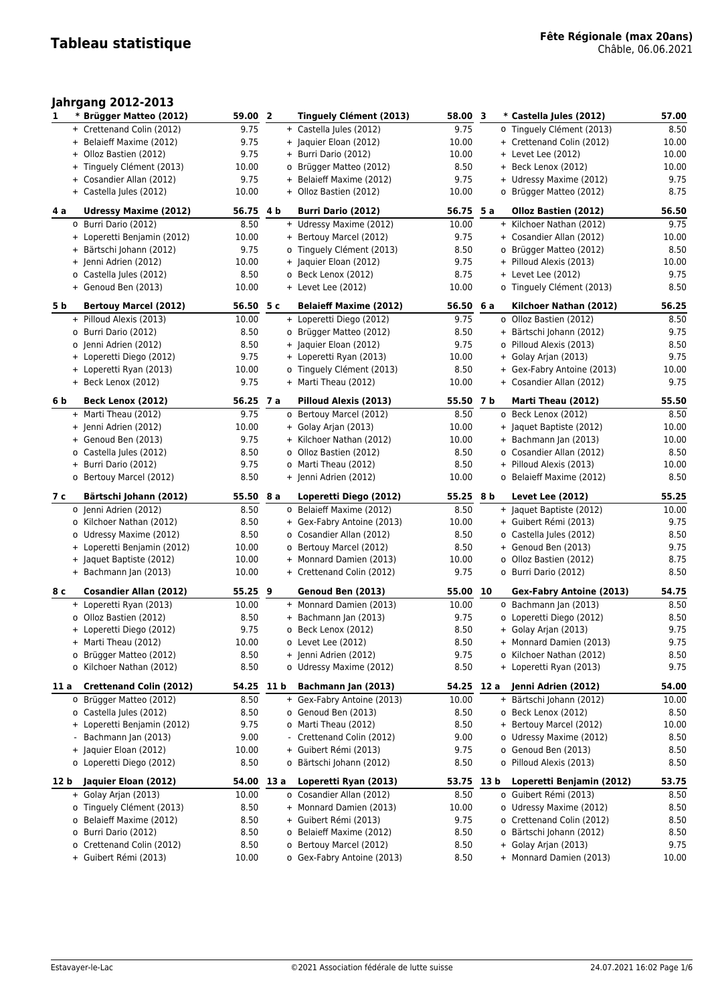## **Jahrgang 2012-2013**

| 1    | * Brügger Matteo (2012)                             | 59.00 2       |     | Tinguely Clément (2013)                               | 58.00 3      | * Castella Jules (2012)                             | 57.00         |
|------|-----------------------------------------------------|---------------|-----|-------------------------------------------------------|--------------|-----------------------------------------------------|---------------|
|      | + Crettenand Colin (2012)                           | 9.75          |     | + Castella Jules (2012)                               | 9.75         | o Tinguely Clément (2013)                           | 8.50          |
|      | + Belaieff Maxime (2012)                            | 9.75          |     | + Jaquier Eloan (2012)                                | 10.00        | + Crettenand Colin (2012)                           | 10.00         |
|      | + Olloz Bastien (2012)                              | 9.75          |     | + Burri Dario (2012)                                  | 10.00        | + Levet Lee (2012)                                  | 10.00         |
|      | + Tinguely Clément (2013)                           | 10.00         |     | o Brügger Matteo (2012)                               | 8.50         | + Beck Lenox (2012)                                 | 10.00         |
|      | + Cosandier Allan (2012)                            | 9.75          |     | + Belaieff Maxime (2012)                              | 9.75         | + Udressy Maxime (2012)                             | 9.75          |
|      | + Castella Jules (2012)                             | 10.00         |     | + Olloz Bastien (2012)                                | 10.00        | o Brügger Matteo (2012)                             | 8.75          |
|      |                                                     |               |     |                                                       |              |                                                     |               |
| 4 a  | <b>Udressy Maxime (2012)</b>                        | 56.75 4 b     |     | <b>Burri Dario (2012)</b>                             | 56.75 5 a    | Olloz Bastien (2012)                                | 56.50         |
|      | o Burri Dario (2012)                                | 8.50          |     | + Udressy Maxime (2012)                               | 10.00        | + Kilchoer Nathan (2012)                            | 9.75          |
|      | + Loperetti Benjamin (2012)                         | 10.00         |     | + Bertouy Marcel (2012)                               | 9.75         | + Cosandier Allan (2012)                            | 10.00         |
|      | + Bärtschi Johann (2012)                            | 9.75          |     | o Tinguely Clément (2013)                             | 8.50         | o Brügger Matteo (2012)                             | 8.50          |
|      | + Jenni Adrien (2012)                               | 10.00         |     | + Jaquier Eloan (2012)                                | 9.75         | + Pilloud Alexis (2013)                             | 10.00         |
|      | o Castella Jules (2012)                             | 8.50          |     | o Beck Lenox (2012)                                   | 8.75         | + Levet Lee (2012)                                  | 9.75          |
|      | + Genoud Ben (2013)                                 | 10.00         |     | + Levet Lee (2012)                                    | 10.00        | o Tinguely Clément (2013)                           | 8.50          |
| 5 b  | <b>Bertouy Marcel (2012)</b>                        | 56.50 5 c     |     | <b>Belaieff Maxime (2012)</b>                         | 56.50 6 a    | Kilchoer Nathan (2012)                              | 56.25         |
|      | + Pilloud Alexis (2013)                             | 10.00         |     | + Loperetti Diego (2012)                              | 9.75         | o Olloz Bastien (2012)                              | 8.50          |
|      | o Burri Dario (2012)                                | 8.50          |     | o Brügger Matteo (2012)                               | 8.50         | + Bärtschi Johann (2012)                            | 9.75          |
|      | o Jenni Adrien (2012)                               | 8.50          |     | + Jaquier Eloan (2012)                                | 9.75         | o Pilloud Alexis (2013)                             | 8.50          |
|      | + Loperetti Diego (2012)                            | 9.75          |     | + Loperetti Ryan (2013)                               | 10.00        | + Golay Arjan (2013)                                | 9.75          |
|      | + Loperetti Ryan (2013)                             | 10.00         |     | o Tinguely Clément (2013)                             | 8.50         | + Gex-Fabry Antoine (2013)                          | 10.00         |
|      | + Beck Lenox (2012)                                 | 9.75          |     | + Marti Theau (2012)                                  | 10.00        | + Cosandier Allan (2012)                            | 9.75          |
|      |                                                     |               |     |                                                       |              |                                                     |               |
| 6 b  | Beck Lenox (2012)                                   | 56.25 7 a     |     | Pilloud Alexis (2013)                                 | 55.50 7 b    | Marti Theau (2012)                                  | 55.50         |
|      | + Marti Theau (2012)                                | 9.75          |     | o Bertouy Marcel (2012)                               | 8.50         | o Beck Lenox (2012)                                 | 8.50          |
|      | + Jenni Adrien (2012)                               | 10.00         |     | + Golay Arjan (2013)                                  | 10.00        | + Jaquet Baptiste (2012)                            | 10.00         |
|      | + Genoud Ben (2013)                                 | 9.75          |     | + Kilchoer Nathan (2012)                              | 10.00        | + Bachmann Jan (2013)                               | 10.00         |
|      | o Castella Jules (2012)                             | 8.50          |     | o Olloz Bastien (2012)                                | 8.50         | o Cosandier Allan (2012)                            | 8.50          |
|      | + Burri Dario (2012)                                | 9.75          |     | o Marti Theau (2012)                                  | 8.50         | + Pilloud Alexis (2013)                             | 10.00         |
|      | o Bertouy Marcel (2012)                             | 8.50          |     | + Jenni Adrien (2012)                                 | 10.00        | o Belaieff Maxime (2012)                            | 8.50          |
|      |                                                     |               |     |                                                       |              |                                                     |               |
| 7 c  | Bärtschi Johann (2012)                              | 55.50         | 8 a | Loperetti Diego (2012)                                | 55.25 8 b    | Levet Lee (2012)                                    | 55.25         |
|      | o Jenni Adrien (2012)                               | 8.50          |     | o Belaieff Maxime (2012)                              | 8.50         | + Jaquet Baptiste (2012)                            | 10.00         |
|      | o Kilchoer Nathan (2012)                            | 8.50          |     | + Gex-Fabry Antoine (2013)                            | 10.00        | + Guibert Rémi (2013)                               | 9.75          |
|      | o Udressy Maxime (2012)                             | 8.50          |     | o Cosandier Allan (2012)                              | 8.50         | o Castella Jules (2012)                             | 8.50          |
|      | + Loperetti Benjamin (2012)                         | 10.00         |     | o Bertouy Marcel (2012)                               | 8.50         | + Genoud Ben (2013)                                 | 9.75          |
|      | + Jaquet Baptiste (2012)                            | 10.00         |     | + Monnard Damien (2013)                               | 10.00        | o Olloz Bastien (2012)                              | 8.75          |
|      | + Bachmann Jan (2013)                               | 10.00         |     | + Crettenand Colin (2012)                             | 9.75         | o Burri Dario (2012)                                | 8.50          |
|      |                                                     |               |     |                                                       |              |                                                     |               |
| 8 c  | <b>Cosandier Allan (2012)</b>                       | 55.25 9       |     | Genoud Ben (2013)                                     | 55.00 10     | Gex-Fabry Antoine (2013)                            | 54.75         |
|      | + Loperetti Ryan (2013)                             | 10.00         |     | + Monnard Damien (2013)                               | 10.00        | o Bachmann Jan (2013)                               | 8.50          |
|      | o Olloz Bastien (2012)                              | 8.50          |     | + Bachmann Jan (2013)                                 | 9.75         | o Loperetti Diego (2012)                            | 8.50          |
|      | + Loperetti Diego (2012)                            | 9.75          |     | o Beck Lenox (2012)                                   | 8.50         | + Golay Arjan (2013)                                | 9.75          |
|      | + Marti Theau (2012)                                | 10.00         |     | o Levet Lee (2012)                                    | 8.50         | + Monnard Damien (2013)                             | 9.75          |
|      | o Brügger Matteo (2012)<br>o Kilchoer Nathan (2012) | 8.50<br>8.50  |     | + Jenni Adrien (2012)                                 | 9.75<br>8.50 | o Kilchoer Nathan (2012)<br>+ Loperetti Ryan (2013) | 8.50<br>9.75  |
|      |                                                     |               |     | o Udressy Maxime (2012)                               |              |                                                     |               |
| 11 a | <b>Crettenand Colin (2012)</b>                      | 54.25 11 b    |     | Bachmann Jan (2013)                                   | 54.25 12 a   | Jenni Adrien (2012)                                 | 54.00         |
|      | o Brügger Matteo (2012)                             | 8.50          |     | + Gex-Fabry Antoine (2013)                            | 10.00        | + Bärtschi Johann (2012)                            | 10.00         |
|      | o Castella Jules (2012)                             | 8.50          |     | o Genoud Ben (2013)                                   | 8.50         | o Beck Lenox (2012)                                 | 8.50          |
|      | + Loperetti Benjamin (2012)                         | 9.75          |     | o Marti Theau (2012)                                  | 8.50         | + Bertouy Marcel (2012)                             | 10.00         |
|      | Bachmann Jan (2013)<br>$\overline{\phantom{a}}$     | 9.00          |     | - Crettenand Colin (2012)                             | 9.00         | o Udressy Maxime (2012)                             | 8.50          |
|      | + Jaquier Eloan (2012)                              | 10.00         |     | + Guibert Rémi (2013)                                 | 9.75         | o Genoud Ben (2013)                                 | 8.50          |
|      | o Loperetti Diego (2012)                            | 8.50          |     | o Bärtschi Johann (2012)                              | 8.50         | o Pilloud Alexis (2013)                             | 8.50          |
| 12 b | Jaquier Eloan (2012)                                | 54.00 13 a    |     | Loperetti Ryan (2013)                                 | 53.75 13 b   | Loperetti Benjamin (2012)                           | 53.75         |
|      | + Golay Arjan (2013)                                | 10.00         |     | o Cosandier Allan (2012)                              | 8.50         | o Guibert Rémi (2013)                               | 8.50          |
|      | o Tinguely Clément (2013)                           | 8.50          |     | + Monnard Damien (2013)                               | 10.00        | o Udressy Maxime (2012)                             | 8.50          |
|      | o Belaieff Maxime (2012)                            | 8.50          |     | + Guibert Rémi (2013)                                 | 9.75         | o Crettenand Colin (2012)                           | 8.50          |
|      | o Burri Dario (2012)                                | 8.50          |     | o Belaieff Maxime (2012)                              | 8.50         | o Bärtschi Johann (2012)                            | 8.50          |
|      | o Crettenand Colin (2012)<br>+ Guibert Rémi (2013)  | 8.50<br>10.00 |     | o Bertouy Marcel (2012)<br>o Gex-Fabry Antoine (2013) | 8.50<br>8.50 | + Golay Arjan (2013)<br>+ Monnard Damien (2013)     | 9.75<br>10.00 |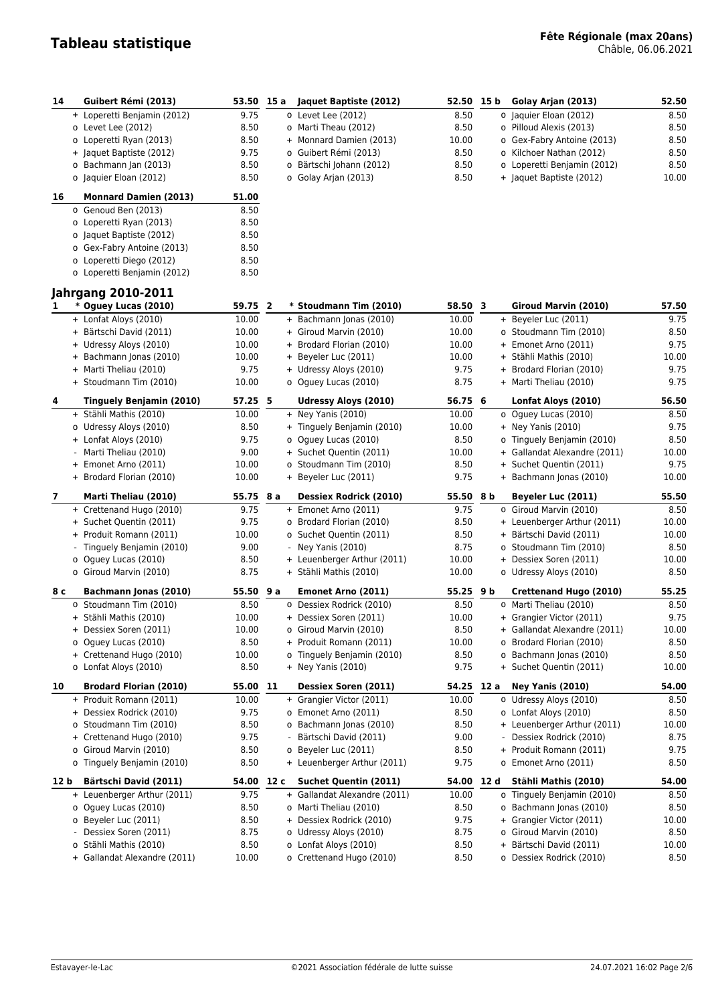# **Tableau statistique Fête Régionale (max 20ans)** Châble, 06.06.2021

| 14           | Guibert Rémi (2013)                                  | 53.50 15 a   |      | Jaquet Baptiste (2012)                              | 52.50 15 b   |      | Golay Arjan (2013)                                    | 52.50         |
|--------------|------------------------------------------------------|--------------|------|-----------------------------------------------------|--------------|------|-------------------------------------------------------|---------------|
|              | + Loperetti Benjamin (2012)                          | 9.75         |      | o Levet Lee (2012)                                  | 8.50         |      | o Jaquier Eloan (2012)                                | 8.50          |
|              | o Levet Lee (2012)                                   | 8.50         |      | o Marti Theau (2012)                                | 8.50         |      | o Pilloud Alexis (2013)                               | 8.50          |
|              | o Loperetti Ryan (2013)                              | 8.50         |      | + Monnard Damien (2013)                             | 10.00        |      | o Gex-Fabry Antoine (2013)                            | 8.50          |
|              | + Jaquet Baptiste (2012)                             | 9.75         |      | o Guibert Rémi (2013)                               | 8.50         |      | o Kilchoer Nathan (2012)                              | 8.50          |
|              | o Bachmann Jan (2013)                                | 8.50         |      | o Bärtschi Johann (2012)                            | 8.50         |      | o Loperetti Benjamin (2012)                           | 8.50          |
|              | o Jaquier Eloan (2012)                               | 8.50         |      | o Golay Arjan (2013)                                | 8.50         |      | + Jaquet Baptiste (2012)                              | 10.00         |
| 16           | <b>Monnard Damien (2013)</b>                         | 51.00        |      |                                                     |              |      |                                                       |               |
|              | o Genoud Ben (2013)                                  | 8.50         |      |                                                     |              |      |                                                       |               |
|              | o Loperetti Ryan (2013)                              | 8.50         |      |                                                     |              |      |                                                       |               |
|              | o Jaquet Baptiste (2012)                             | 8.50         |      |                                                     |              |      |                                                       |               |
|              | o Gex-Fabry Antoine (2013)                           | 8.50         |      |                                                     |              |      |                                                       |               |
|              | o Loperetti Diego (2012)                             | 8.50         |      |                                                     |              |      |                                                       |               |
|              | o Loperetti Benjamin (2012)                          | 8.50         |      |                                                     |              |      |                                                       |               |
|              | <b>Jahrgang 2010-2011</b>                            |              |      |                                                     |              |      |                                                       |               |
| 1            | * Oguey Lucas (2010)                                 | 59.75 2      |      | * Stoudmann Tim (2010)                              | 58.50 3      |      | Giroud Marvin (2010)                                  | 57.50         |
|              | + Lonfat Aloys (2010)                                | 10.00        |      | + Bachmann Jonas (2010)                             | 10.00        |      | + Beyeler Luc (2011)                                  | 9.75          |
|              | + Bärtschi David (2011)                              | 10.00        |      | + Giroud Marvin (2010)                              | 10.00        |      | o Stoudmann Tim (2010)                                | 8.50          |
|              | + Udressy Aloys (2010)                               | 10.00        |      | + Brodard Florian (2010)                            | 10.00        |      | + Emonet Arno (2011)                                  | 9.75          |
|              | + Bachmann Jonas (2010)                              | 10.00        |      | + Beyeler Luc (2011)                                | 10.00        |      | + Stähli Mathis (2010)                                | 10.00         |
|              | + Marti Theliau (2010)                               | 9.75         |      | + Udressy Aloys (2010)                              | 9.75         |      | + Brodard Florian (2010)                              | 9.75          |
|              | + Stoudmann Tim (2010)                               | 10.00        |      | o Oguey Lucas (2010)                                | 8.75         |      | + Marti Theliau (2010)                                | 9.75          |
| 4            | <b>Tinguely Benjamin (2010)</b>                      | 57.25 5      |      | <b>Udressy Aloys (2010)</b>                         | 56.75 6      |      | Lonfat Aloys (2010)                                   | 56.50         |
|              | + Stähli Mathis (2010)                               | 10.00        |      | $+$ Ney Yanis (2010)                                | 10.00        |      | o Oguey Lucas (2010)                                  | 8.50          |
|              | o Udressy Aloys (2010)                               | 8.50         |      | + Tinguely Benjamin (2010)                          | 10.00        |      | $+$ Ney Yanis (2010)                                  | 9.75          |
|              | + Lonfat Aloys (2010)                                | 9.75         |      | o Oguey Lucas (2010)                                | 8.50         |      | o Tinguely Benjamin (2010)                            | 8.50          |
|              | - Marti Theliau (2010)                               | 9.00         |      | + Suchet Quentin (2011)                             | 10.00        |      | + Gallandat Alexandre (2011)                          | 10.00         |
|              | + Emonet Arno (2011)                                 | 10.00        |      | o Stoudmann Tim (2010)                              | 8.50         |      | + Suchet Quentin (2011)                               | 9.75          |
|              | + Brodard Florian (2010)                             | 10.00        |      | + Beyeler Luc (2011)                                | 9.75         |      | + Bachmann Jonas (2010)                               | 10.00         |
| $\mathbf{7}$ | Marti Theliau (2010)                                 | 55.75        | 8 a  | <b>Dessiex Rodrick (2010)</b>                       | 55.50        | 8 b  | Beyeler Luc (2011)                                    | 55.50         |
|              | + Crettenand Hugo (2010)                             | 9.75         |      | + Emonet Arno (2011)                                | 9.75         |      | o Giroud Marvin (2010)                                | 8.50          |
|              | + Suchet Quentin (2011)                              | 9.75         |      | o Brodard Florian (2010)                            | 8.50         |      | + Leuenberger Arthur (2011)                           | 10.00         |
|              | + Produit Romann (2011)                              | 10.00        |      | o Suchet Quentin (2011)                             | 8.50         |      | + Bärtschi David (2011)                               | 10.00         |
|              | - Tinguely Benjamin (2010)                           | 9.00         |      | - Ney Yanis (2010)                                  | 8.75         |      | o Stoudmann Tim (2010)                                | 8.50          |
|              | o Oguey Lucas (2010)                                 | 8.50         |      | + Leuenberger Arthur (2011)                         | 10.00        |      | + Dessiex Soren (2011)                                | 10.00         |
|              | o Giroud Marvin (2010)                               | 8.75         |      | + Stähli Mathis (2010)                              | 10.00        |      | o Udressy Aloys (2010)                                | 8.50          |
| 8 с          | Bachmann Jonas (2010)                                | 55.50        | 9 a  | Emonet Arno (2011)                                  | 55.25 9 b    |      | Crettenand Hugo (2010)                                | 55.25         |
|              | o Stoudmann Tim (2010)                               | 8.50         |      | o Dessiex Rodrick (2010)                            | 8.50         |      | o Marti Theliau (2010)                                | 8.50          |
|              | + Stähli Mathis (2010)                               | 10.00        |      | + Dessiex Soren (2011)                              | 10.00        |      | + Grangier Victor (2011)                              | 9.75          |
|              | + Dessiex Soren (2011)                               | 10.00        |      | o Giroud Marvin (2010)                              | 8.50         |      | + Gallandat Alexandre (2011)                          | 10.00         |
|              | o Oguey Lucas (2010)                                 | 8.50         |      | + Produit Romann (2011)                             | 10.00        |      | o Brodard Florian (2010)                              | 8.50          |
|              | + Crettenand Hugo (2010)                             | 10.00        |      | o Tinguely Benjamin (2010)                          | 8.50         |      | o Bachmann Jonas (2010)                               | 8.50          |
|              | o Lonfat Aloys (2010)                                | 8.50         |      | $+$ Ney Yanis (2010)                                | 9.75         |      | + Suchet Quentin (2011)                               | 10.00         |
| 10           | <b>Brodard Florian (2010)</b>                        | 55.00        | 11   | Dessiex Soren (2011)                                | 54.25        | 12 a | <b>Ney Yanis (2010)</b>                               | 54.00         |
|              | + Produit Romann (2011)                              | 10.00        |      | + Grangier Victor (2011)                            | 10.00        |      | o Udressy Aloys (2010)                                | 8.50          |
|              | + Dessiex Rodrick (2010)                             | 9.75         |      | o Emonet Arno (2011)                                | 8.50         |      | o Lonfat Aloys (2010)                                 | 8.50          |
|              | o Stoudmann Tim (2010)                               | 8.50         |      | o Bachmann Jonas (2010)                             | 8.50         |      | + Leuenberger Arthur (2011)                           | 10.00         |
|              | + Crettenand Hugo (2010)                             | 9.75         |      | - Bärtschi David (2011)                             | 9.00         |      | Dessiex Rodrick (2010)                                | 8.75          |
|              | o Giroud Marvin (2010)                               | 8.50         |      | o Beyeler Luc (2011)<br>+ Leuenberger Arthur (2011) | 8.50<br>9.75 |      | + Produit Romann (2011)<br>o Emonet Arno (2011)       | 9.75          |
|              | o Tinguely Benjamin (2010)                           | 8.50         |      |                                                     |              |      |                                                       | 8.50          |
| 12 b         | Bärtschi David (2011)                                | 54.00        | 12 c | <b>Suchet Quentin (2011)</b>                        | 54.00        | 12 d | Stähli Mathis (2010)                                  | 54.00         |
|              | + Leuenberger Arthur (2011)                          | 9.75         |      | + Gallandat Alexandre (2011)                        | 10.00        |      | o Tinguely Benjamin (2010)<br>o Bachmann Jonas (2010) | 8.50          |
|              | o Oguey Lucas (2010)                                 | 8.50         |      | o Marti Theliau (2010)<br>+ Dessiex Rodrick (2010)  | 8.50         |      | + Grangier Victor (2011)                              | 8.50          |
|              | o Beyeler Luc (2011)                                 | 8.50         |      |                                                     | 9.75         |      |                                                       | 10.00         |
|              | Dessiex Soren (2011)<br>۰.<br>o Stähli Mathis (2010) | 8.75<br>8.50 |      | o Udressy Aloys (2010)<br>o Lonfat Aloys (2010)     | 8.75<br>8.50 |      | o Giroud Marvin (2010)<br>+ Bärtschi David (2011)     | 8.50<br>10.00 |
|              | + Gallandat Alexandre (2011)                         | 10.00        |      | o Crettenand Hugo (2010)                            | 8.50         |      | o Dessiex Rodrick (2010)                              | 8.50          |
|              |                                                      |              |      |                                                     |              |      |                                                       |               |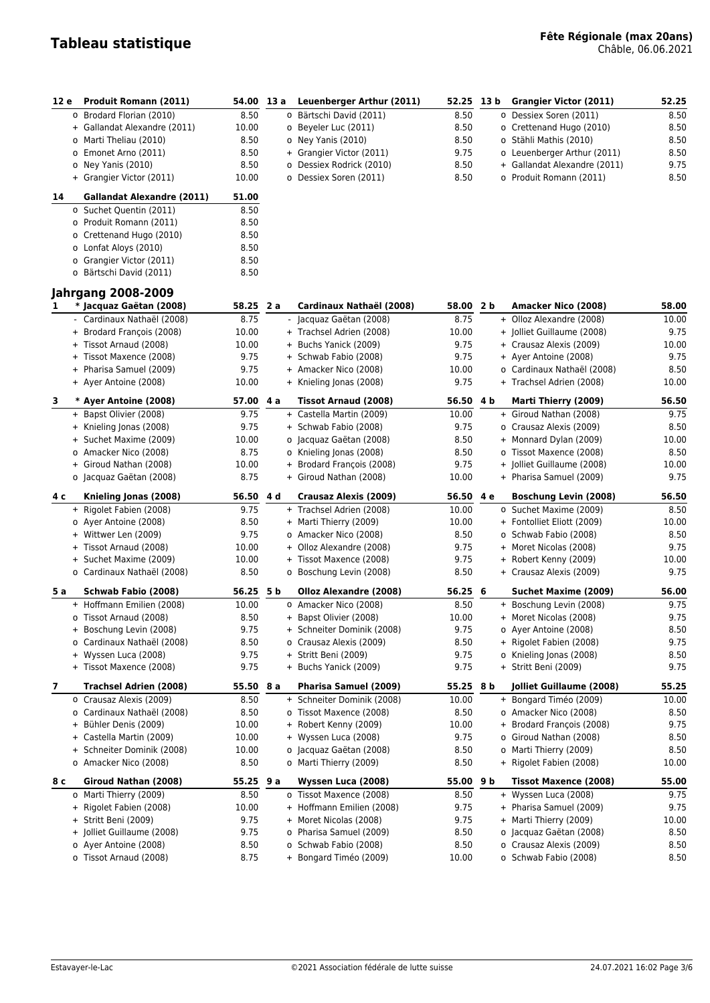| 12 e | Produit Romann (2011)                                    | 54.00 13 a     |     | Leuenberger Arthur (2011)                             | 52.25              | 13 b | Grangier Victor (2011)                             | 52.25          |
|------|----------------------------------------------------------|----------------|-----|-------------------------------------------------------|--------------------|------|----------------------------------------------------|----------------|
|      | o Brodard Florian (2010)                                 | 8.50           |     | o Bärtschi David (2011)                               | 8.50               |      | o Dessiex Soren (2011)                             | 8.50           |
|      | + Gallandat Alexandre (2011)                             | 10.00          |     | o Beyeler Luc (2011)                                  | 8.50               |      | o Crettenand Hugo (2010)                           | 8.50           |
|      | o Marti Theliau (2010)                                   | 8.50           |     | o Ney Yanis (2010)                                    | 8.50               |      | o Stähli Mathis (2010)                             | 8.50           |
|      | o Emonet Arno (2011)                                     | 8.50           |     | + Grangier Victor (2011)                              | 9.75               |      | o Leuenberger Arthur (2011)                        | 8.50           |
|      | o Ney Yanis (2010)                                       | 8.50           |     | o Dessiex Rodrick (2010)                              | 8.50               |      | + Gallandat Alexandre (2011)                       | 9.75           |
|      | + Grangier Victor (2011)                                 | 10.00          |     | o Dessiex Soren (2011)                                | 8.50               |      | o Produit Romann (2011)                            | 8.50           |
| 14   | <b>Gallandat Alexandre (2011)</b>                        | 51.00          |     |                                                       |                    |      |                                                    |                |
|      | o Suchet Quentin (2011)                                  | 8.50           |     |                                                       |                    |      |                                                    |                |
|      | o Produit Romann (2011)                                  | 8.50           |     |                                                       |                    |      |                                                    |                |
|      | o Crettenand Hugo (2010)                                 | 8.50           |     |                                                       |                    |      |                                                    |                |
|      | o Lonfat Aloys (2010)                                    | 8.50           |     |                                                       |                    |      |                                                    |                |
|      | o Grangier Victor (2011)                                 | 8.50           |     |                                                       |                    |      |                                                    |                |
|      | o Bärtschi David (2011)                                  | 8.50           |     |                                                       |                    |      |                                                    |                |
|      | <b>Jahrgang 2008-2009</b>                                |                |     |                                                       |                    |      |                                                    |                |
| 1.   | * Jacquaz Gaëtan (2008)                                  | 58.25 2 a      |     | Cardinaux Nathaël (2008)                              | 58.00 2 b          |      | Amacker Nico (2008)                                | 58.00          |
|      | - Cardinaux Nathaël (2008)                               | 8.75           |     | - Jacquaz Gaëtan (2008)                               | 8.75               |      | + Olloz Alexandre (2008)                           | 10.00          |
|      | + Brodard François (2008)                                | 10.00          |     | + Trachsel Adrien (2008)                              | 10.00              |      | + Jolliet Guillaume (2008)                         | 9.75           |
|      | + Tissot Arnaud (2008)                                   | 10.00          |     | + Buchs Yanick (2009)                                 | 9.75               |      | + Crausaz Alexis (2009)                            | 10.00          |
|      | + Tissot Maxence (2008)                                  | 9.75           |     | + Schwab Fabio (2008)                                 | 9.75               |      | + Ayer Antoine (2008)                              | 9.75           |
|      | + Pharisa Samuel (2009)                                  | 9.75           |     | + Amacker Nico (2008)                                 | 10.00              |      | o Cardinaux Nathaël (2008)                         | 8.50           |
|      | + Ayer Antoine (2008)                                    | 10.00          |     | + Knieling Jonas (2008)                               | 9.75               |      | + Trachsel Adrien (2008)                           | 10.00          |
| 3    | * Ayer Antoine (2008)                                    | 57.00 4 a      |     | <b>Tissot Arnaud (2008)</b>                           | 56.50 4 b          |      | Marti Thierry (2009)                               | 56.50          |
|      | + Bapst Olivier (2008)                                   | 9.75           |     | + Castella Martin (2009)                              | 10.00              |      | + Giroud Nathan (2008)                             | 9.75           |
|      | + Knieling Jonas (2008)                                  | 9.75           |     | + Schwab Fabio (2008)                                 | 9.75               |      | o Crausaz Alexis (2009)                            | 8.50           |
|      | + Suchet Maxime (2009)                                   | 10.00          |     | o Jacquaz Gaëtan (2008)                               | 8.50               |      | + Monnard Dylan (2009)                             | 10.00          |
|      | o Amacker Nico (2008)                                    | 8.75           |     | o Knieling Jonas (2008)                               | 8.50               |      | o Tissot Maxence (2008)                            | 8.50           |
|      | + Giroud Nathan (2008)                                   | 10.00          |     | + Brodard François (2008)                             | 9.75               |      | + Jolliet Guillaume (2008)                         | 10.00          |
|      | o Jacquaz Gaëtan (2008)                                  | 8.75           |     | + Giroud Nathan (2008)                                | 10.00              |      | + Pharisa Samuel (2009)                            | 9.75           |
| 4 c  | Knieling Jonas (2008)                                    | 56.50          | 4 d | <b>Crausaz Alexis (2009)</b>                          | 56.50              | 4е   | <b>Boschung Levin (2008)</b>                       | 56.50          |
|      | + Rigolet Fabien (2008)                                  | 9.75           |     | + Trachsel Adrien (2008)                              | 10.00              |      | o Suchet Maxime (2009)                             | 8.50           |
|      | o Ayer Antoine (2008)                                    | 8.50           |     | + Marti Thierry (2009)                                | 10.00              |      | + Fontolliet Eliott (2009)                         | 10.00          |
|      | + Wittwer Len (2009)                                     | 9.75           |     | o Amacker Nico (2008)                                 | 8.50               |      | o Schwab Fabio (2008)                              | 8.50           |
|      | + Tissot Arnaud (2008)                                   | 10.00          |     | + Olloz Alexandre (2008)                              | 9.75               |      | + Moret Nicolas (2008)                             | 9.75           |
|      | + Suchet Maxime (2009)                                   | 10.00          |     | + Tissot Maxence (2008)                               | 9.75               |      | + Robert Kenny (2009)                              | 10.00          |
|      | o Cardinaux Nathaël (2008)                               | 8.50           |     | o Boschung Levin (2008)                               | 8.50               |      | + Crausaz Alexis (2009)                            | 9.75           |
|      |                                                          |                |     |                                                       |                    |      |                                                    |                |
| 5 a  | Schwab Fabio (2008)<br>+ Hoffmann Emilien (2008)         | 56.25<br>10.00 | 5 b | Olloz Alexandre (2008)<br>o Amacker Nico (2008)       | 56.25 6<br>8.50    |      | Suchet Maxime (2009)<br>+ Boschung Levin (2008)    | 56.00<br>9.75  |
|      | o Tissot Arnaud (2008)                                   | 8.50           |     | + Bapst Olivier (2008)                                | 10.00              |      | + Moret Nicolas (2008)                             | 9.75           |
|      |                                                          |                |     |                                                       |                    |      |                                                    |                |
|      | + Boschung Levin (2008)<br>o Cardinaux Nathaël (2008)    | 9.75<br>8.50   |     | + Schneiter Dominik (2008)<br>o Crausaz Alexis (2009) | 9.75<br>8.50       |      | o Ayer Antoine (2008)<br>+ Rigolet Fabien (2008)   | 8.50<br>9.75   |
|      | + Wyssen Luca (2008)                                     | 9.75           |     | + Stritt Beni (2009)                                  | 9.75               |      | o Knieling Jonas (2008)                            | 8.50           |
|      | + Tissot Maxence (2008)                                  | 9.75           |     | + Buchs Yanick (2009)                                 | 9.75               |      | + Stritt Beni (2009)                               | 9.75           |
|      |                                                          |                |     |                                                       |                    |      |                                                    |                |
| 7    | <b>Trachsel Adrien (2008)</b><br>o Crausaz Alexis (2009) | 55.50<br>8.50  | 8 a | Pharisa Samuel (2009)<br>+ Schneiter Dominik (2008)   | 55.25 8 b<br>10.00 |      | Jolliet Guillaume (2008)<br>+ Bongard Timéo (2009) | 55.25<br>10.00 |
|      | o Cardinaux Nathaël (2008)                               | 8.50           |     | o Tissot Maxence (2008)                               | 8.50               |      | o Amacker Nico (2008)                              | 8.50           |
|      | + Bühler Denis (2009)                                    | 10.00          |     | + Robert Kenny (2009)                                 | 10.00              |      | + Brodard François (2008)                          | 9.75           |
|      | + Castella Martin (2009)                                 | 10.00          |     | + Wyssen Luca (2008)                                  | 9.75               |      | o Giroud Nathan (2008)                             | 8.50           |
|      | + Schneiter Dominik (2008)                               | 10.00          |     | o Jacquaz Gaëtan (2008)                               | 8.50               |      | o Marti Thierry (2009)                             | 8.50           |
|      | o Amacker Nico (2008)                                    | 8.50           |     | o Marti Thierry (2009)                                | 8.50               |      | + Rigolet Fabien (2008)                            | 10.00          |
| 8 с  | Giroud Nathan (2008)                                     | $55.25$ 9 a    |     | Wyssen Luca (2008)                                    | $55.00$ 9 b        |      | <b>Tissot Maxence (2008)</b>                       | 55.00          |
|      | o Marti Thierry (2009)                                   | 8.50           |     | o Tissot Maxence (2008)                               | 8.50               |      | + Wyssen Luca (2008)                               | 9.75           |
|      | + Rigolet Fabien (2008)                                  | 10.00          |     | + Hoffmann Emilien (2008)                             | 9.75               |      | + Pharisa Samuel (2009)                            | 9.75           |
|      | + Stritt Beni (2009)                                     | 9.75           |     | + Moret Nicolas (2008)                                | 9.75               |      | + Marti Thierry (2009)                             | 10.00          |
|      | + Jolliet Guillaume (2008)                               | 9.75           |     | o Pharisa Samuel (2009)                               | 8.50               |      | o Jacquaz Gaëtan (2008)                            | 8.50           |
|      | o Ayer Antoine (2008)                                    | 8.50           |     | o Schwab Fabio (2008)                                 | 8.50               |      | o Crausaz Alexis (2009)                            | 8.50           |
|      | o Tissot Arnaud (2008)                                   | 8.75           |     | + Bongard Timéo (2009)                                | 10.00              |      | o Schwab Fabio (2008)                              | 8.50           |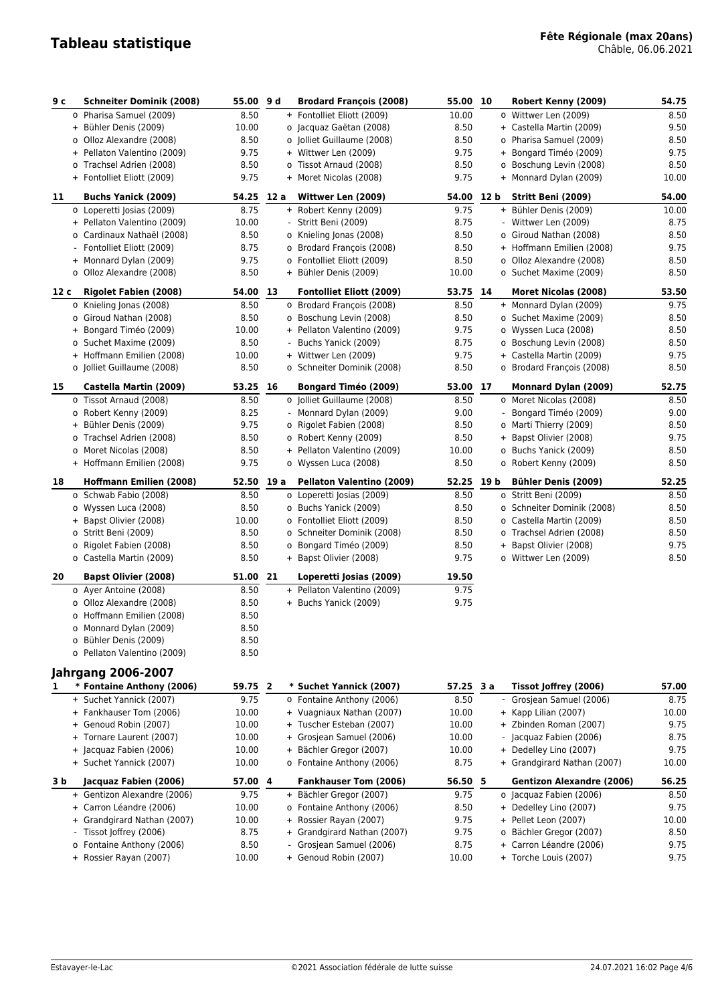# **Tableau statistique Fête Régionale (max 20ans)** Châble, 06.06.2021

| 9с   | <b>Schneiter Dominik (2008)</b>                      | 55.00    | 9 d  | <b>Brodard François (2008)</b>  | 55.00      | 10             | Robert Kenny (2009)              | 54.75 |
|------|------------------------------------------------------|----------|------|---------------------------------|------------|----------------|----------------------------------|-------|
|      | o Pharisa Samuel (2009)                              | 8.50     |      | + Fontolliet Eliott (2009)      | 10.00      |                | o Wittwer Len (2009)             | 8.50  |
|      | + Bühler Denis (2009)                                | 10.00    |      | o Jacquaz Gaëtan (2008)         | 8.50       |                | + Castella Martin (2009)         | 9.50  |
|      | o Olloz Alexandre (2008)                             | 8.50     |      | o Jolliet Guillaume (2008)      | 8.50       |                | o Pharisa Samuel (2009)          | 8.50  |
|      | + Pellaton Valentino (2009)                          | 9.75     |      | + Wittwer Len (2009)            | 9.75       |                | + Bongard Timéo (2009)           | 9.75  |
|      | o Trachsel Adrien (2008)                             | 8.50     |      | o Tissot Arnaud (2008)          | 8.50       |                | o Boschung Levin (2008)          | 8.50  |
|      | + Fontolliet Eliott (2009)                           | 9.75     |      | + Moret Nicolas (2008)          | 9.75       |                | + Monnard Dylan (2009)           | 10.00 |
|      |                                                      |          |      |                                 |            |                |                                  |       |
| 11   | <b>Buchs Yanick (2009)</b>                           | 54.25    | 12 a | Wittwer Len (2009)              | 54.00      | 12 b           | Stritt Beni (2009)               | 54.00 |
|      | o Loperetti Josias (2009)                            | 8.75     |      | + Robert Kenny (2009)           | 9.75       |                | + Bühler Denis (2009)            | 10.00 |
|      | + Pellaton Valentino (2009)                          | 10.00    |      | Stritt Beni (2009)              | 8.75       |                | - Wittwer Len (2009)             | 8.75  |
|      | o Cardinaux Nathaël (2008)                           | 8.50     |      | o Knieling Jonas (2008)         | 8.50       |                | o Giroud Nathan (2008)           | 8.50  |
|      | Fontolliet Eliott (2009)<br>$\overline{\phantom{a}}$ | 8.75     |      | o Brodard François (2008)       | 8.50       |                | + Hoffmann Emilien (2008)        | 9.75  |
|      | + Monnard Dylan (2009)                               | 9.75     |      | o Fontolliet Eliott (2009)      | 8.50       |                | o Olloz Alexandre (2008)         | 8.50  |
|      | o Olloz Alexandre (2008)                             | 8.50     |      | + Bühler Denis (2009)           | 10.00      |                | o Suchet Maxime (2009)           | 8.50  |
| 12 c | <b>Rigolet Fabien (2008)</b>                         | 54.00    | 13   | <b>Fontolliet Eliott (2009)</b> | 53.75 14   |                | <b>Moret Nicolas (2008)</b>      | 53.50 |
|      | o Knieling Jonas (2008)                              | 8.50     |      | o Brodard François (2008)       | 8.50       |                | + Monnard Dylan (2009)           | 9.75  |
|      | o Giroud Nathan (2008)                               | 8.50     |      | o Boschung Levin (2008)         | 8.50       |                | o Suchet Maxime (2009)           | 8.50  |
|      | + Bongard Timéo (2009)                               | 10.00    |      | + Pellaton Valentino (2009)     | 9.75       |                | o Wyssen Luca (2008)             | 8.50  |
|      | o Suchet Maxime (2009)                               | 8.50     |      | Buchs Yanick (2009)             | 8.75       |                | o Boschung Levin (2008)          | 8.50  |
|      | + Hoffmann Emilien (2008)                            | 10.00    |      | + Wittwer Len (2009)            | 9.75       |                | + Castella Martin (2009)         | 9.75  |
|      | o Jolliet Guillaume (2008)                           | 8.50     |      | o Schneiter Dominik (2008)      | 8.50       |                | o Brodard François (2008)        | 8.50  |
| 15   | Castella Martin (2009)                               | 53.25 16 |      | <b>Bongard Timéo (2009)</b>     | 53.00 17   |                | Monnard Dylan (2009)             | 52.75 |
|      | o Tissot Arnaud (2008)                               | 8.50     |      | o Jolliet Guillaume (2008)      | 8.50       |                | o Moret Nicolas (2008)           | 8.50  |
|      | o Robert Kenny (2009)                                | 8.25     |      | - Monnard Dylan (2009)          | 9.00       |                | Bongard Timéo (2009)             | 9.00  |
|      | + Bühler Denis (2009)                                | 9.75     |      | o Rigolet Fabien (2008)         | 8.50       |                | o Marti Thierry (2009)           | 8.50  |
|      | o Trachsel Adrien (2008)                             | 8.50     |      | o Robert Kenny (2009)           | 8.50       |                | + Bapst Olivier (2008)           | 9.75  |
|      | o Moret Nicolas (2008)                               | 8.50     |      | + Pellaton Valentino (2009)     | 10.00      |                | o Buchs Yanick (2009)            | 8.50  |
|      | + Hoffmann Emilien (2008)                            | 9.75     |      | o Wyssen Luca (2008)            | 8.50       |                | o Robert Kenny (2009)            | 8.50  |
| 18   | <b>Hoffmann Emilien (2008)</b>                       | 52.50    | 19 a | Pellaton Valentino (2009)       | 52.25 19 b |                | <b>Bühler Denis (2009)</b>       | 52.25 |
|      | o Schwab Fabio (2008)                                | 8.50     |      | o Loperetti Josias (2009)       | 8.50       |                | o Stritt Beni (2009)             | 8.50  |
|      | o Wyssen Luca (2008)                                 | 8.50     |      | o Buchs Yanick (2009)           | 8.50       |                | o Schneiter Dominik (2008)       | 8.50  |
|      | + Bapst Olivier (2008)                               | 10.00    |      | o Fontolliet Eliott (2009)      | 8.50       |                | o Castella Martin (2009)         | 8.50  |
|      | o Stritt Beni (2009)                                 | 8.50     |      | o Schneiter Dominik (2008)      | 8.50       |                | o Trachsel Adrien (2008)         | 8.50  |
|      | o Rigolet Fabien (2008)                              | 8.50     |      | o Bongard Timéo (2009)          | 8.50       |                | + Bapst Olivier (2008)           | 9.75  |
|      | o Castella Martin (2009)                             | 8.50     |      | + Bapst Olivier (2008)          | 9.75       |                | o Wittwer Len (2009)             | 8.50  |
|      |                                                      |          |      |                                 |            |                |                                  |       |
| 20   | <b>Bapst Olivier (2008)</b>                          | 51.00    | 21   | Loperetti Josias (2009)         | 19.50      |                |                                  |       |
|      | o Ayer Antoine (2008)                                | 8.50     |      | + Pellaton Valentino (2009)     | 9.75       |                |                                  |       |
|      | o Olloz Alexandre (2008)                             | 8.50     |      | + Buchs Yanick (2009)           | 9.75       |                |                                  |       |
|      | o Hoffmann Emilien (2008)                            | 8.50     |      |                                 |            |                |                                  |       |
|      | o Monnard Dylan (2009)                               | 8.50     |      |                                 |            |                |                                  |       |
|      | o Bühler Denis (2009)                                | 8.50     |      |                                 |            |                |                                  |       |
|      | o Pellaton Valentino (2009)                          | 8.50     |      |                                 |            |                |                                  |       |
|      | <b>Jahrgang 2006-2007</b>                            |          |      |                                 |            |                |                                  |       |
|      | * Fontaine Anthony (2006)                            | 59.75 2  |      | * Suchet Yannick (2007)         | 57.25 3 a  |                | Tissot Joffrey (2006)            | 57.00 |
|      | + Suchet Yannick (2007)                              | 9.75     |      | o Fontaine Anthony (2006)       | 8.50       | $\blacksquare$ | Grosjean Samuel (2006)           | 8.75  |
|      | + Fankhauser Tom (2006)                              | 10.00    |      | + Vuagniaux Nathan (2007)       | 10.00      |                | + Kapp Lilian (2007)             | 10.00 |
|      | + Genoud Robin (2007)                                | 10.00    |      | + Tuscher Esteban (2007)        | 10.00      |                | + Zbinden Roman (2007)           | 9.75  |
|      | + Tornare Laurent (2007)                             | 10.00    |      | + Grosjean Samuel (2006)        | 10.00      |                | - Jacquaz Fabien (2006)          | 8.75  |
|      | + Jacquaz Fabien (2006)                              | 10.00    |      | + Bächler Gregor (2007)         | 10.00      |                | + Dedelley Lino (2007)           | 9.75  |
|      | + Suchet Yannick (2007)                              | 10.00    |      | o Fontaine Anthony (2006)       | 8.75       |                | + Grandgirard Nathan (2007)      | 10.00 |
| 3 b  | Jacquaz Fabien (2006)                                | 57.00 4  |      | <b>Fankhauser Tom (2006)</b>    | 56.50 5    |                | <b>Gentizon Alexandre (2006)</b> | 56.25 |
|      | + Gentizon Alexandre (2006)                          | 9.75     |      | + Bächler Gregor (2007)         | 9.75       |                | o Jacquaz Fabien (2006)          | 8.50  |
|      | + Carron Léandre (2006)                              | 10.00    |      | o Fontaine Anthony (2006)       | 8.50       |                | + Dedelley Lino (2007)           | 9.75  |
|      | Grandgirard Nathan (2007)<br>$+$                     | 10.00    |      | + Rossier Rayan (2007)          | 9.75       |                | + Pellet Leon (2007)             | 10.00 |
|      | Tissot Joffrey (2006)                                | 8.75     |      | + Grandgirard Nathan (2007)     | 9.75       |                | o Bächler Gregor (2007)          | 8.50  |
|      | o Fontaine Anthony (2006)                            | 8.50     |      | Grosjean Samuel (2006)          | 8.75       |                | + Carron Léandre (2006)          | 9.75  |
|      | + Rossier Rayan (2007)                               | 10.00    |      | + Genoud Robin (2007)           | 10.00      |                | + Torche Louis (2007)            | 9.75  |
|      |                                                      |          |      |                                 |            |                |                                  |       |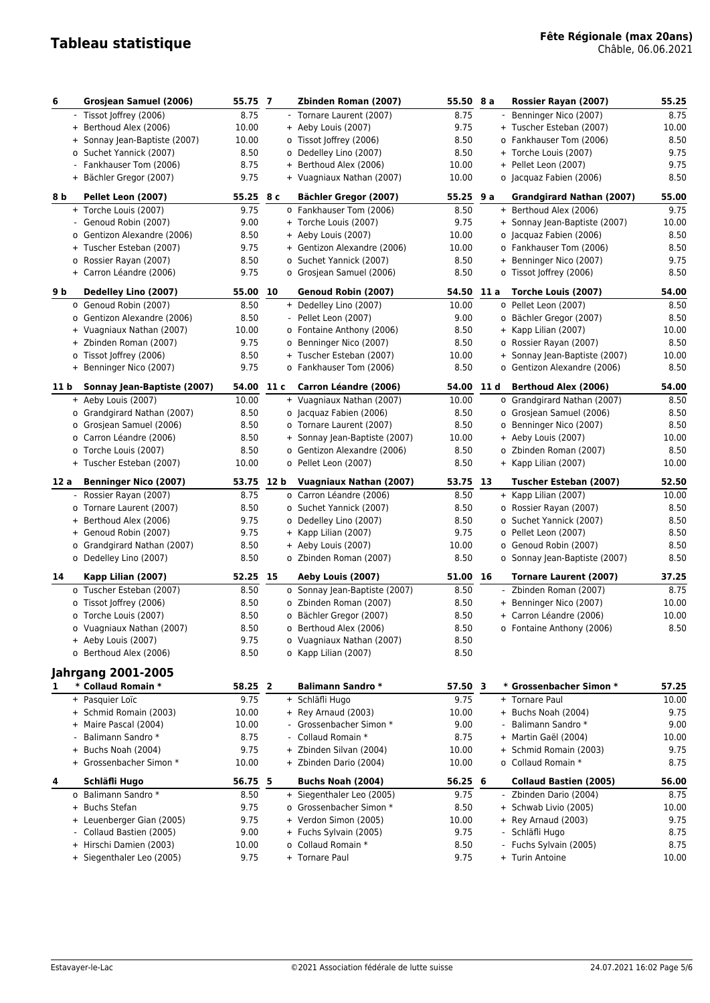| 6                        | Grosjean Samuel (2006)                               | 55.75 7          |      | Zbinden Roman (2007)                               | 55.50 8 a        |                | Rossier Rayan (2007)                                  | 55.25         |
|--------------------------|------------------------------------------------------|------------------|------|----------------------------------------------------|------------------|----------------|-------------------------------------------------------|---------------|
|                          | - Tissot Joffrey (2006)                              | 8.75             |      | - Tornare Laurent (2007)                           | 8.75             | $\blacksquare$ | Benninger Nico (2007)                                 | 8.75          |
|                          | + Berthoud Alex (2006)                               | 10.00            |      | + Aeby Louis (2007)                                | 9.75             |                | + Tuscher Esteban (2007)                              | 10.00         |
|                          | + Sonnay Jean-Baptiste (2007)                        | 10.00            |      | o Tissot Joffrey (2006)                            | 8.50             |                | o Fankhauser Tom (2006)                               | 8.50          |
|                          | o Suchet Yannick (2007)                              | 8.50             |      | o Dedelley Lino (2007)                             | 8.50             |                | + Torche Louis (2007)                                 | 9.75          |
| $\overline{\phantom{0}}$ | Fankhauser Tom (2006)                                | 8.75             |      | + Berthoud Alex (2006)                             | 10.00            |                | + Pellet Leon (2007)                                  | 9.75          |
|                          | + Bächler Gregor (2007)                              | 9.75             |      | + Vuagniaux Nathan (2007)                          | 10.00            |                | o Jacquaz Fabien (2006)                               | 8.50          |
| 8 b                      | Pellet Leon (2007)                                   | 55.25 8 c        |      | Bächler Gregor (2007)                              | $55.25$ 9 a      |                | <b>Grandgirard Nathan (2007)</b>                      | 55.00         |
|                          | + Torche Louis (2007)                                | 9.75             |      | o Fankhauser Tom (2006)                            | 8.50             |                | + Berthoud Alex (2006)                                | 9.75          |
|                          | - Genoud Robin (2007)                                | 9.00             |      | + Torche Louis (2007)                              | 9.75             |                | + Sonnay Jean-Baptiste (2007)                         | 10.00         |
|                          | o Gentizon Alexandre (2006)                          | 8.50             |      | + Aeby Louis (2007)                                | 10.00            |                | o Jacquaz Fabien (2006)                               | 8.50          |
|                          | + Tuscher Esteban (2007)                             | 9.75             |      | + Gentizon Alexandre (2006)                        | 10.00            |                | o Fankhauser Tom (2006)                               | 8.50          |
|                          | o Rossier Rayan (2007)                               | 8.50             |      | o Suchet Yannick (2007)                            | 8.50             |                | + Benninger Nico (2007)                               | 9.75          |
|                          | + Carron Léandre (2006)                              | 9.75             |      | o Grosjean Samuel (2006)                           | 8.50             |                | o Tissot Joffrey (2006)                               | 8.50          |
| 9 b                      | Dedelley Lino (2007)                                 | 55.00            | 10   | Genoud Robin (2007)                                | 54.50            | 11 a           | Torche Louis (2007)                                   | 54.00         |
|                          | o Genoud Robin (2007)                                | 8.50             |      | + Dedelley Lino (2007)                             | 10.00            |                | o Pellet Leon (2007)                                  | 8.50          |
|                          | o Gentizon Alexandre (2006)                          | 8.50             |      | Pellet Leon (2007)                                 | 9.00             |                | o Bächler Gregor (2007)                               | 8.50          |
|                          | + Vuagniaux Nathan (2007)                            | 10.00            |      | o Fontaine Anthony (2006)                          | 8.50             |                | + Kapp Lilian (2007)                                  | 10.00         |
|                          | + Zbinden Roman (2007)                               | 9.75             |      | o Benninger Nico (2007)                            | 8.50             |                | o Rossier Rayan (2007)                                | 8.50          |
|                          | o Tissot Joffrey (2006)                              | 8.50             |      | + Tuscher Esteban (2007)                           | 10.00            |                | + Sonnay Jean-Baptiste (2007)                         | 10.00         |
|                          | + Benninger Nico (2007)                              | 9.75             |      | o Fankhauser Tom (2006)                            | 8.50             |                | o Gentizon Alexandre (2006)                           | 8.50          |
| 11 b                     | Sonnay Jean-Baptiste (2007)                          | 54.00            | 11 c | Carron Léandre (2006)                              | 54.00 11 d       |                | <b>Berthoud Alex (2006)</b>                           | 54.00         |
|                          | + Aeby Louis (2007)                                  | 10.00            |      | + Vuagniaux Nathan (2007)                          | 10.00            |                | o Grandgirard Nathan (2007)                           | 8.50          |
|                          | o Grandgirard Nathan (2007)                          | 8.50             |      | o Jacquaz Fabien (2006)                            | 8.50             |                | o Grosjean Samuel (2006)                              | 8.50          |
|                          | o Grosjean Samuel (2006)                             | 8.50             |      | o Tornare Laurent (2007)                           | 8.50             |                | o Benninger Nico (2007)                               | 8.50          |
|                          | o Carron Léandre (2006)                              | 8.50             |      | + Sonnay Jean-Baptiste (2007)                      | 10.00            |                | + Aeby Louis (2007)                                   | 10.00         |
|                          | o Torche Louis (2007)                                | 8.50             |      | o Gentizon Alexandre (2006)                        | 8.50             |                | o Zbinden Roman (2007)                                | 8.50          |
|                          | + Tuscher Esteban (2007)                             | 10.00            |      | o Pellet Leon (2007)                               | 8.50             |                | + Kapp Lilian (2007)                                  | 10.00         |
| 12 a                     | <b>Benninger Nico (2007)</b>                         | 53.75 12 b       |      | Vuagniaux Nathan (2007)                            | 53.75 13         |                | Tuscher Esteban (2007)                                | 52.50         |
| ۰.                       | Rossier Rayan (2007)                                 | 8.75             |      | o Carron Léandre (2006)                            | 8.50             |                | + Kapp Lilian (2007)                                  | 10.00         |
|                          | o Tornare Laurent (2007)                             | 8.50             |      | o Suchet Yannick (2007)                            | 8.50             |                | o Rossier Rayan (2007)                                | 8.50          |
| $+$                      | Berthoud Alex (2006)                                 | 9.75<br>9.75     |      | o Dedelley Lino (2007)                             | 8.50             |                | o Suchet Yannick (2007)                               | 8.50          |
|                          | + Genoud Robin (2007)<br>o Grandgirard Nathan (2007) | 8.50             |      | + Kapp Lilian (2007)<br>+ Aeby Louis (2007)        | 9.75<br>10.00    |                | o Pellet Leon (2007)<br>o Genoud Robin (2007)         | 8.50<br>8.50  |
|                          | o Dedelley Lino (2007)                               | 8.50             |      | o Zbinden Roman (2007)                             | 8.50             |                | o Sonnay Jean-Baptiste (2007)                         | 8.50          |
|                          |                                                      |                  |      |                                                    |                  |                |                                                       |               |
| 14                       | Kapp Lilian (2007)<br>o Tuscher Esteban (2007)       | 52.25 15<br>8.50 |      | Aeby Louis (2007)<br>o Sonnay Jean-Baptiste (2007) | 51.00 16<br>8.50 |                | <b>Tornare Laurent (2007)</b><br>Zbinden Roman (2007) | 37.25<br>8.75 |
|                          | o Tissot Joffrey (2006)                              | 8.50             |      | o Zbinden Roman (2007)                             | 8.50             |                | + Benninger Nico (2007)                               | 10.00         |
|                          |                                                      |                  |      |                                                    |                  |                |                                                       |               |
|                          |                                                      |                  |      |                                                    |                  |                |                                                       |               |
|                          | o Torche Louis (2007)                                | 8.50             |      | o Bächler Gregor (2007)                            | 8.50             |                | + Carron Léandre (2006)                               | 10.00         |
|                          | o Vuagniaux Nathan (2007)                            | 8.50             |      | o Berthoud Alex (2006)                             | 8.50             |                | o Fontaine Anthony (2006)                             | 8.50          |
|                          | + Aeby Louis (2007)<br>o Berthoud Alex (2006)        | 9.75             |      | o Vuagniaux Nathan (2007)                          | 8.50             |                |                                                       |               |
|                          |                                                      | 8.50             |      | o Kapp Lilian (2007)                               | 8.50             |                |                                                       |               |
|                          | <b>Jahrgang 2001-2005</b>                            |                  |      |                                                    |                  |                |                                                       |               |
| 1                        | * Collaud Romain *                                   | 58.25 2          |      | <b>Balimann Sandro *</b>                           | 57.50 3          |                | * Grossenbacher Simon *                               | 57.25         |
|                          | + Pasquier Loïc                                      | 9.75             |      | + Schläfli Hugo                                    | 9.75             |                | + Tornare Paul                                        | 10.00         |
|                          | + Schmid Romain (2003)                               | 10.00            |      | + Rey Arnaud (2003)                                | 10.00            |                | + Buchs Noah (2004)                                   | 9.75          |
|                          | + Maire Pascal (2004)                                | 10.00            |      | Grossenbacher Simon *<br>Collaud Romain *          | 9.00             |                | Balimann Sandro *                                     | 9.00          |
|                          | Balimann Sandro *                                    | 8.75             |      |                                                    | 8.75             |                | + Martin Gaël (2004)                                  | 10.00         |
|                          | + Buchs Noah (2004)<br>+ Grossenbacher Simon *       | 9.75<br>10.00    |      | + Zbinden Silvan (2004)<br>+ Zbinden Dario (2004)  | 10.00<br>10.00   |                | + Schmid Romain (2003)<br>o Collaud Romain *          | 9.75<br>8.75  |
| 4                        | Schläfli Hugo                                        | 56.75 5          |      | Buchs Noah (2004)                                  | 56.25 6          |                | <b>Collaud Bastien (2005)</b>                         | 56.00         |
|                          | o Balimann Sandro *                                  | 8.50             |      | + Siegenthaler Leo (2005)                          | 9.75             |                | - Zbinden Dario (2004)                                | 8.75          |
|                          | + Buchs Stefan                                       | 9.75             |      | o Grossenbacher Simon *                            | 8.50             |                | + Schwab Livio (2005)                                 | 10.00         |
|                          | + Leuenberger Gian (2005)                            | 9.75             |      | + Verdon Simon (2005)                              | 10.00            |                | + Rey Arnaud (2003)                                   | 9.75          |
| $\blacksquare$           | Collaud Bastien (2005)                               | 9.00             |      | + Fuchs Sylvain (2005)                             | 9.75             |                | - Schläfli Hugo                                       | 8.75          |
|                          | + Hirschi Damien (2003)<br>+ Siegenthaler Leo (2005) | 10.00<br>9.75    |      | o Collaud Romain *<br>+ Tornare Paul               | 8.50<br>9.75     |                | - Fuchs Sylvain (2005)<br>+ Turin Antoine             | 8.75<br>10.00 |